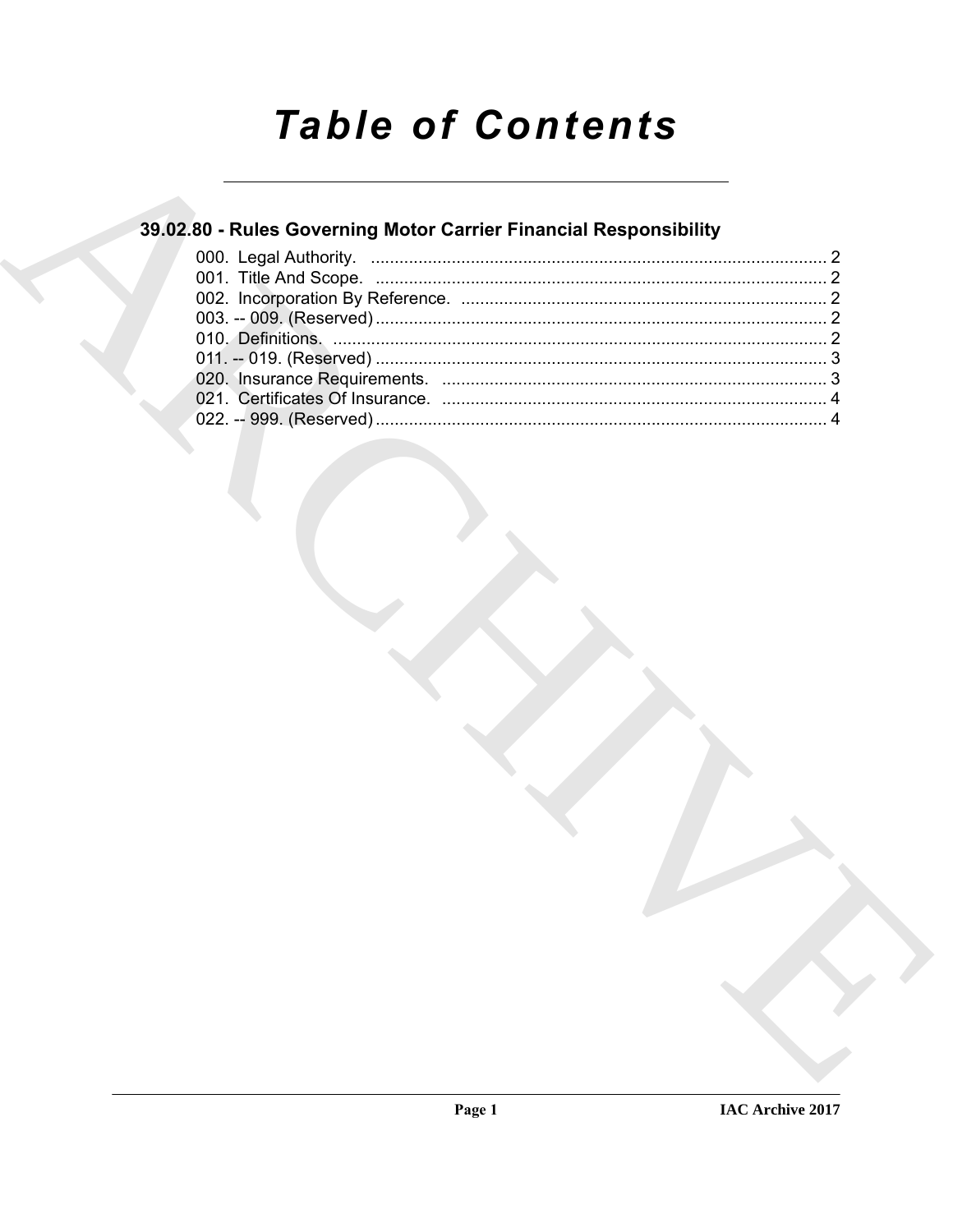# **Table of Contents**

### 39.02.80 - Rules Governing Motor Carrier Financial Responsibility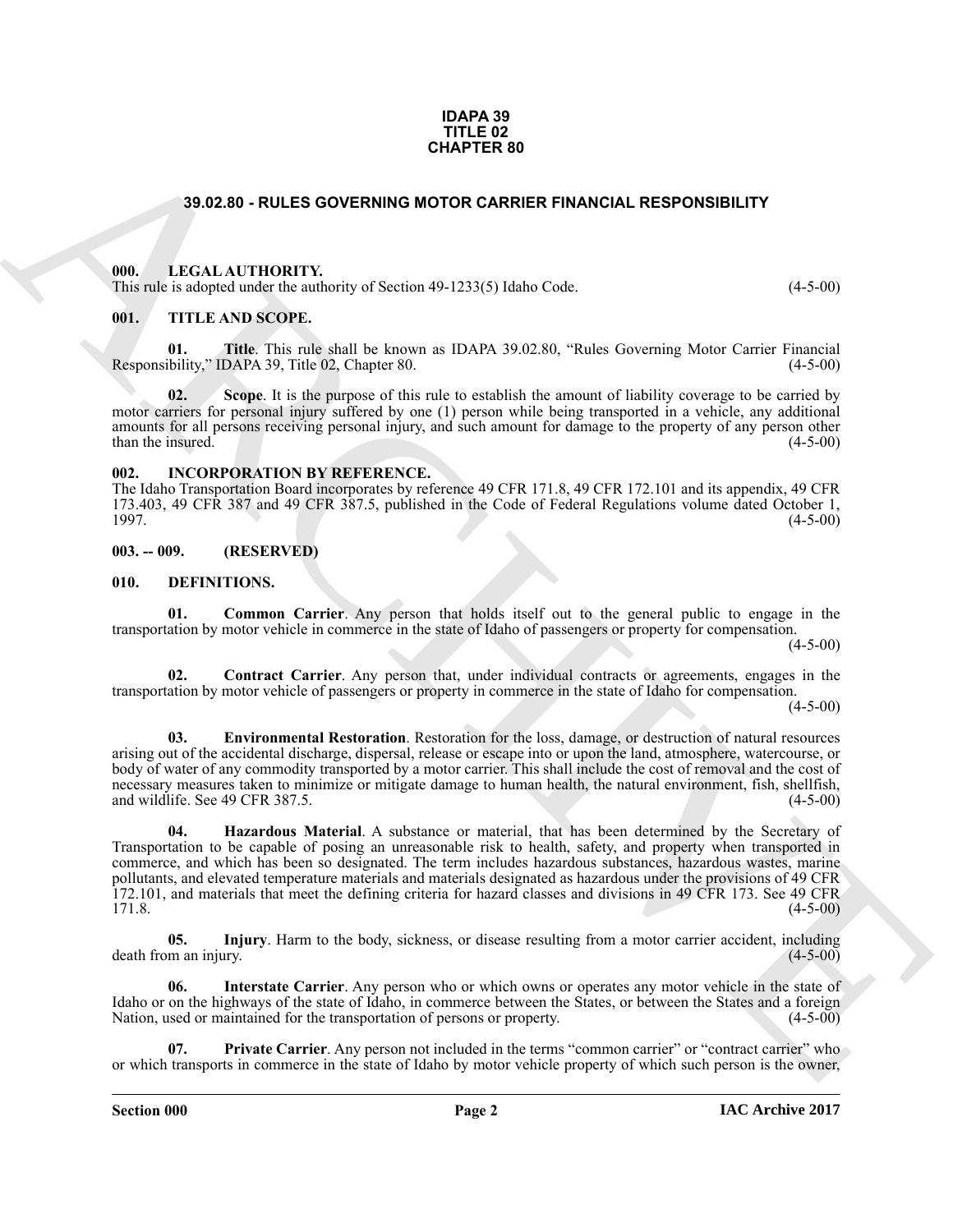#### **IDAPA 39 TITLE 02 CHAPTER 80**

### **39.02.80 - RULES GOVERNING MOTOR CARRIER FINANCIAL RESPONSIBILITY**

### <span id="page-1-1"></span><span id="page-1-0"></span>**000. LEGAL AUTHORITY.**

This rule is adopted under the authority of Section 49-1233(5) Idaho Code. (4-5-00)

### <span id="page-1-2"></span>**001. TITLE AND SCOPE.**

**01. Title**. This rule shall be known as IDAPA 39.02.80, "Rules Governing Motor Carrier Financial Responsibility," IDAPA 39, Title 02, Chapter 80. (4-5-00)

**02.** Scope. It is the purpose of this rule to establish the amount of liability coverage to be carried by motor carriers for personal injury suffered by one (1) person while being transported in a vehicle, any additional amounts for all persons receiving personal injury, and such amount for damage to the property of any person other than the insured. (4-5-00) than the insured.

### <span id="page-1-3"></span>**002. INCORPORATION BY REFERENCE.**

The Idaho Transportation Board incorporates by reference 49 CFR 171.8, 49 CFR 172.101 and its appendix, 49 CFR 173.403, 49 CFR 387 and 49 CFR 387.5, published in the Code of Federal Regulations volume dated October 1, 1997. (4-5-00)

### <span id="page-1-4"></span>**003. -- 009. (RESERVED)**

#### <span id="page-1-6"></span><span id="page-1-5"></span>**010. DEFINITIONS.**

<span id="page-1-7"></span>**01. Common Carrier**. Any person that holds itself out to the general public to engage in the transportation by motor vehicle in commerce in the state of Idaho of passengers or property for compensation.

 $(4-5-00)$ 

<span id="page-1-8"></span>**02. Contract Carrier**. Any person that, under individual contracts or agreements, engages in the transportation by motor vehicle of passengers or property in commerce in the state of Idaho for compensation.

 $(4-5-00)$ 

<span id="page-1-10"></span><span id="page-1-9"></span>**03. Environmental Restoration**. Restoration for the loss, damage, or destruction of natural resources arising out of the accidental discharge, dispersal, release or escape into or upon the land, atmosphere, watercourse, or body of water of any commodity transported by a motor carrier. This shall include the cost of removal and the cost of necessary measures taken to minimize or mitigate damage to human health, the natural environment, fish, shellfish, and wildlife. See 49 CFR 387.5. and wildlife. See 49 CFR 387.5.

**39.92.80 - RULES OOVERNING MOTOR CARRIER FINANCIAL RESPONSIBILITY**<br>
19. ILLEAL AUTIONITY<br>
19. ILLEAL AUTIONITY<br>
19. ILLEAL AUTIONITY<br>
19. ILLEAL AUTIONITY<br>
19. ILLEAL AUTIONITY<br>
19. ILLEAL AUTOR TOWARD IN SCRIPS (SERVICE **04. Hazardous Material**. A substance or material, that has been determined by the Secretary of Transportation to be capable of posing an unreasonable risk to health, safety, and property when transported in commerce, and which has been so designated. The term includes hazardous substances, hazardous wastes, marine pollutants, and elevated temperature materials and materials designated as hazardous under the provisions of 49 CFR 172.101, and materials that meet the defining criteria for hazard classes and divisions in 49 CFR 173. See 49 CFR  $171.8.$  (4-5-00)

<span id="page-1-11"></span>**05.** Injury. Harm to the body, sickness, or disease resulting from a motor carrier accident, including m an injury.  $(4-5-00)$ death from an injury.

<span id="page-1-12"></span>**06. Interstate Carrier**. Any person who or which owns or operates any motor vehicle in the state of Idaho or on the highways of the state of Idaho, in commerce between the States, or between the States and a foreign Nation, used or maintained for the transportation of persons or property. (4-5-00) Nation, used or maintained for the transportation of persons or property.

<span id="page-1-13"></span>**Private Carrier**. Any person not included in the terms "common carrier" or "contract carrier" who or which transports in commerce in the state of Idaho by motor vehicle property of which such person is the owner,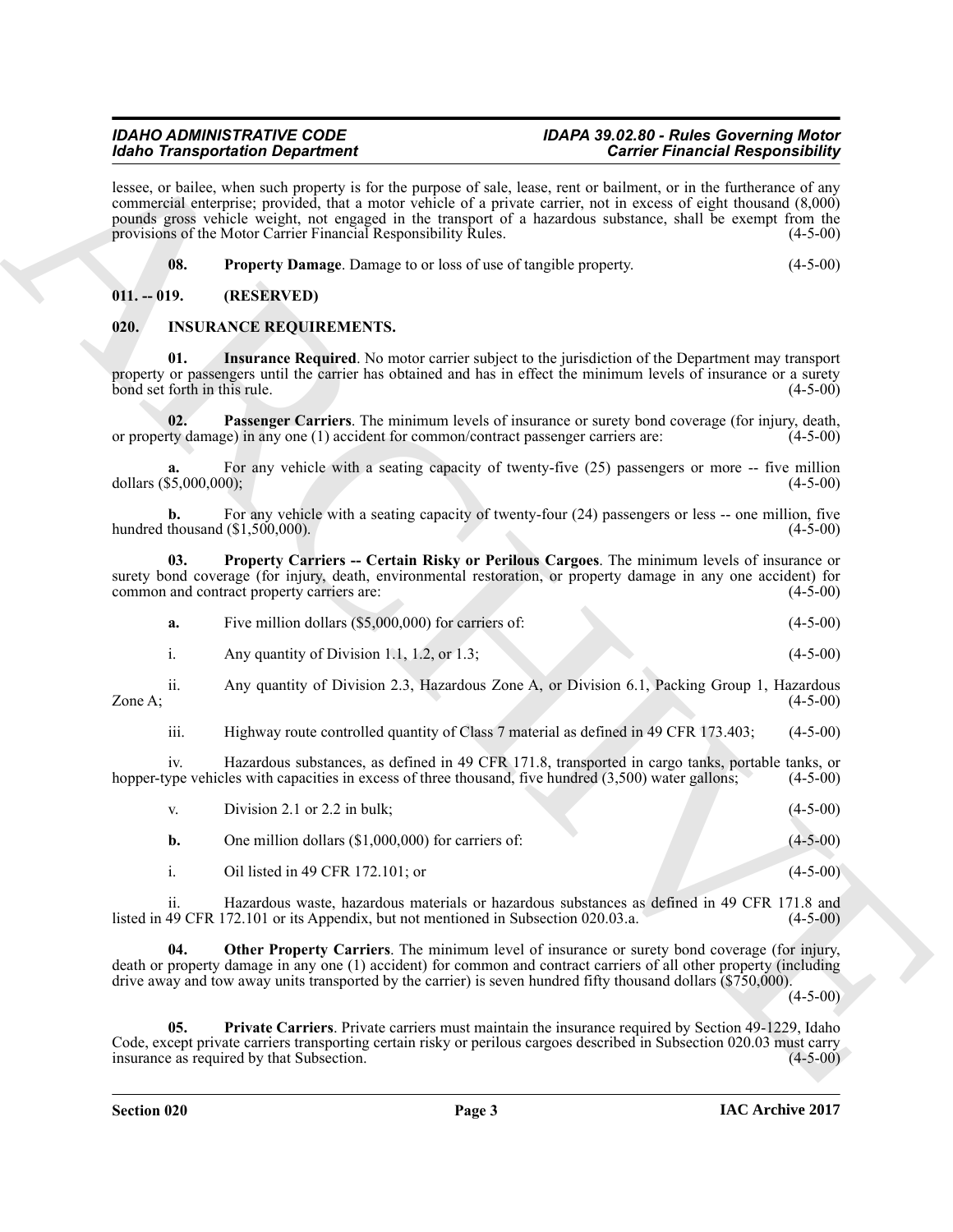## *Idaho Transportation Department*

## *IDAHO ADMINISTRATIVE CODE IDAPA 39.02.80 - Rules Governing Motor*

### <span id="page-2-8"></span><span id="page-2-6"></span><span id="page-2-4"></span><span id="page-2-3"></span><span id="page-2-2"></span><span id="page-2-1"></span><span id="page-2-0"></span>**020. INSURANCE REQUIREMENTS.**

|  |                                                                 | <b>Idaho Transportation Department</b>                                                                                                                                                                                                                                                                                                                                       | <b>Carrier Financial Responsibility</b> |  |
|--|-----------------------------------------------------------------|------------------------------------------------------------------------------------------------------------------------------------------------------------------------------------------------------------------------------------------------------------------------------------------------------------------------------------------------------------------------------|-----------------------------------------|--|
|  | provisions of the Motor Carrier Financial Responsibility Rules. | lessee, or bailee, when such property is for the purpose of sale, lease, rent or bailment, or in the furtherance of any<br>commercial enterprise; provided, that a motor vehicle of a private carrier, not in excess of eight thousand (8,000)<br>pounds gross vehicle weight, not engaged in the transport of a hazardous substance, shall be exempt from the<br>$(4-5-00)$ |                                         |  |
|  | 08.                                                             | <b>Property Damage.</b> Damage to or loss of use of tangible property.                                                                                                                                                                                                                                                                                                       | $(4-5-00)$                              |  |
|  | $011. - 019.$                                                   | (RESERVED)                                                                                                                                                                                                                                                                                                                                                                   |                                         |  |
|  | 020.                                                            | <b>INSURANCE REQUIREMENTS.</b>                                                                                                                                                                                                                                                                                                                                               |                                         |  |
|  | 01.<br>bond set forth in this rule.                             | <b>Insurance Required.</b> No motor carrier subject to the jurisdiction of the Department may transport<br>property or passengers until the carrier has obtained and has in effect the minimum levels of insurance or a surety                                                                                                                                               | $(4-5-00)$                              |  |
|  | 02.                                                             | Passenger Carriers. The minimum levels of insurance or surety bond coverage (for injury, death,<br>or property damage) in any one (1) accident for common/contract passenger carriers are:                                                                                                                                                                                   | $(4-5-00)$                              |  |
|  | a.<br>dollars (\$5,000,000);                                    | For any vehicle with a seating capacity of twenty-five (25) passengers or more -- five million                                                                                                                                                                                                                                                                               | $(4-5-00)$                              |  |
|  | b.                                                              | For any vehicle with a seating capacity of twenty-four (24) passengers or less -- one million, five<br>hundred thousand $(\$1,500,000)$ .                                                                                                                                                                                                                                    | $(4-5-00)$                              |  |
|  | 03.                                                             | Property Carriers -- Certain Risky or Perilous Cargoes. The minimum levels of insurance or<br>surety bond coverage (for injury, death, environmental restoration, or property damage in any one accident) for<br>common and contract property carriers are:                                                                                                                  | $(4-5-00)$                              |  |
|  | a.                                                              | Five million dollars (\$5,000,000) for carriers of:                                                                                                                                                                                                                                                                                                                          | $(4-5-00)$                              |  |
|  | $\mathbf{i}$ .                                                  | Any quantity of Division 1.1, 1.2, or 1.3;                                                                                                                                                                                                                                                                                                                                   | $(4-5-00)$                              |  |
|  | $\overline{\mathbf{11}}$ .<br>Zone A;                           | Any quantity of Division 2.3, Hazardous Zone A, or Division 6.1, Packing Group 1, Hazardous                                                                                                                                                                                                                                                                                  | $(4-5-00)$                              |  |
|  | iii.                                                            | Highway route controlled quantity of Class 7 material as defined in 49 CFR 173.403;                                                                                                                                                                                                                                                                                          | $(4-5-00)$                              |  |
|  | iv.                                                             | Hazardous substances, as defined in 49 CFR 171.8, transported in cargo tanks, portable tanks, or<br>hopper-type vehicles with capacities in excess of three thousand, five hundred (3,500) water gallons;                                                                                                                                                                    | $(4-5-00)$                              |  |
|  | V.                                                              | Division 2.1 or 2.2 in bulk;                                                                                                                                                                                                                                                                                                                                                 | $(4 - 5 - 00)$                          |  |
|  | b.                                                              | One million dollars (\$1,000,000) for carriers of:                                                                                                                                                                                                                                                                                                                           | $(4 - 5 - 00)$                          |  |
|  | $\mathbf{i}$ .                                                  | Oil listed in 49 CFR 172.101; or                                                                                                                                                                                                                                                                                                                                             | $(4-5-00)$                              |  |
|  | ii.                                                             | Hazardous waste, hazardous materials or hazardous substances as defined in 49 CFR 171.8 and<br>listed in 49 CFR 172.101 or its Appendix, but not mentioned in Subsection 020.03.a.                                                                                                                                                                                           | $(4-5-00)$                              |  |
|  | 04.                                                             | Other Property Carriers. The minimum level of insurance or surety bond coverage (for injury,<br>death or property damage in any one (1) accident) for common and contract carriers of all other property (including<br>drive away and tow away units transported by the carrier) is seven hundred fifty thousand dollars (\$750,000).                                        | $(4-5-00)$                              |  |
|  | 05.                                                             | Private Carriers. Private carriers must maintain the insurance required by Section 49-1229, Idaho<br>Code, except private carriers transporting certain risky or perilous cargoes described in Subsection 020.03 must carry<br>insurance as required by that Subsection.                                                                                                     | $(4-5-00)$                              |  |

<span id="page-2-7"></span><span id="page-2-5"></span>

| V. | Division 2.1 or 2.2 in bulk;                         | $(4-5-00)$ |
|----|------------------------------------------------------|------------|
|    | One million dollars $(\$1,000,000)$ for carriers of: | $(4-5-00)$ |
|    | Oil listed in 49 CFR 172.101; or                     | $(4-5-00)$ |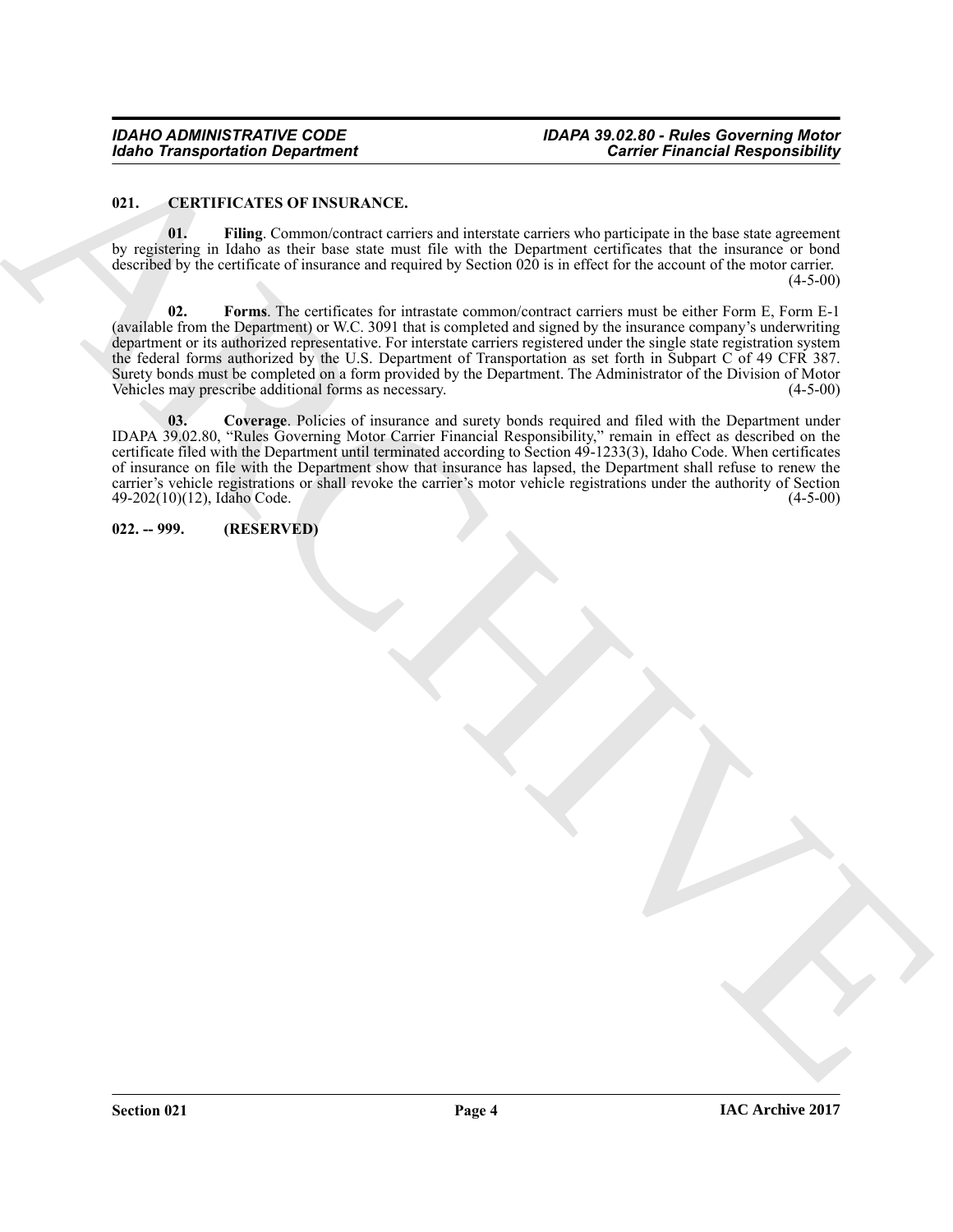### <span id="page-3-2"></span><span id="page-3-0"></span>**021. CERTIFICATES OF INSURANCE.**

<span id="page-3-4"></span>**01. Filing**. Common/contract carriers and interstate carriers who participate in the base state agreement by registering in Idaho as their base state must file with the Department certificates that the insurance or bond described by the certificate of insurance and required by Section 020 is in effect for the account of the motor carrier.  $(4-5-00)$ 

<span id="page-3-5"></span><span id="page-3-3"></span>**02. Forms**. The certificates for intrastate common/contract carriers must be either Form E, Form E-1 (available from the Department) or W.C. 3091 that is completed and signed by the insurance company's underwriting department or its authorized representative. For interstate carriers registered under the single state registration system the federal forms authorized by the U.S. Department of Transportation as set forth in Subpart C of 49 CFR 387. Surety bonds must be completed on a form provided by the Department. The Administrator of the Division of Motor<br>Vehicles may prescribe additional forms as necessary. (4-5-00) Vehicles may prescribe additional forms as necessary.

Garden Transportation Department<br>
21. CHERE Contract transportation (Eq. 2013)<br>
2. Elisabeth Park Contract transportation (Eq. 2016)<br>
2. Elisabeth Park Contract transportation (Eq. 2016)<br>
2. Although Find Contract the con **03. Coverage**. Policies of insurance and surety bonds required and filed with the Department under IDAPA 39.02.80, "Rules Governing Motor Carrier Financial Responsibility," remain in effect as described on the certificate filed with the Department until terminated according to Section 49-1233(3), Idaho Code. When certificates of insurance on file with the Department show that insurance has lapsed, the Department shall refuse to renew the carrier's vehicle registrations or shall revoke the carrier's motor vehicle registrations under the authority of Section 49-202(10)(12), Idaho Code.

### <span id="page-3-1"></span>**022. -- 999. (RESERVED)**